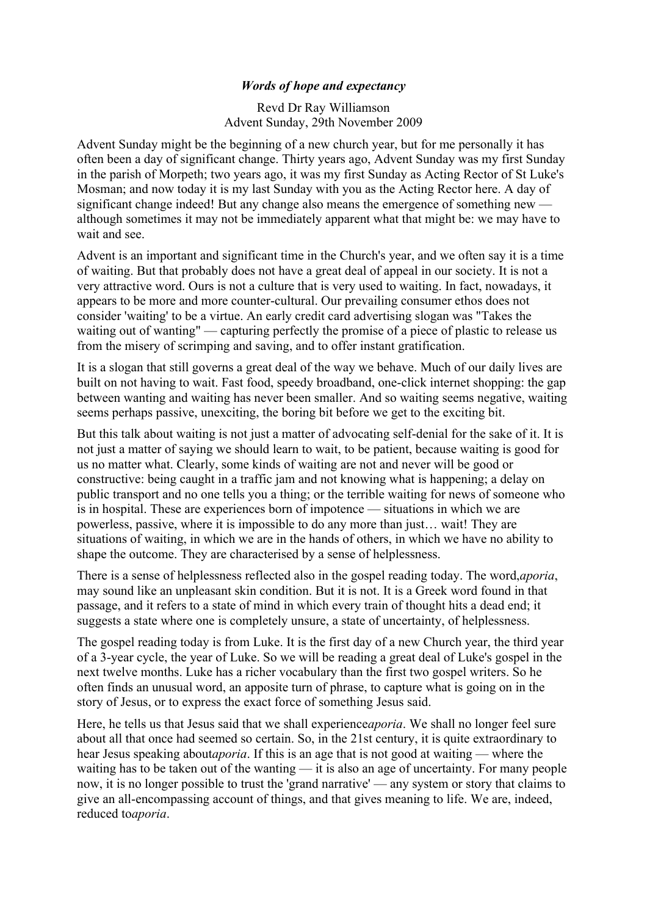## *Words of hope and expectancy*

Revd Dr Ray Williamson Advent Sunday, 29th November 2009

Advent Sunday might be the beginning of a new church year, but for me personally it has often been a day of significant change. Thirty years ago, Advent Sunday was my first Sunday in the parish of Morpeth; two years ago, it was my first Sunday as Acting Rector of St Luke's Mosman; and now today it is my last Sunday with you as the Acting Rector here. A day of significant change indeed! But any change also means the emergence of something new although sometimes it may not be immediately apparent what that might be: we may have to wait and see.

Advent is an important and significant time in the Church's year, and we often say it is a time of waiting. But that probably does not have a great deal of appeal in our society. It is not a very attractive word. Ours is not a culture that is very used to waiting. In fact, nowadays, it appears to be more and more counter-cultural. Our prevailing consumer ethos does not consider 'waiting' to be a virtue. An early credit card advertising slogan was "Takes the waiting out of wanting" — capturing perfectly the promise of a piece of plastic to release us from the misery of scrimping and saving, and to offer instant gratification.

It is a slogan that still governs a great deal of the way we behave. Much of our daily lives are built on not having to wait. Fast food, speedy broadband, one-click internet shopping: the gap between wanting and waiting has never been smaller. And so waiting seems negative, waiting seems perhaps passive, unexciting, the boring bit before we get to the exciting bit.

But this talk about waiting is not just a matter of advocating self-denial for the sake of it. It is not just a matter of saying we should learn to wait, to be patient, because waiting is good for us no matter what. Clearly, some kinds of waiting are not and never will be good or constructive: being caught in a traffic jam and not knowing what is happening; a delay on public transport and no one tells you a thing; or the terrible waiting for news of someone who is in hospital. These are experiences born of impotence — situations in which we are powerless, passive, where it is impossible to do any more than just… wait! They are situations of waiting, in which we are in the hands of others, in which we have no ability to shape the outcome. They are characterised by a sense of helplessness.

There is a sense of helplessness reflected also in the gospel reading today. The word,*aporia*, may sound like an unpleasant skin condition. But it is not. It is a Greek word found in that passage, and it refers to a state of mind in which every train of thought hits a dead end; it suggests a state where one is completely unsure, a state of uncertainty, of helplessness.

The gospel reading today is from Luke. It is the first day of a new Church year, the third year of a 3-year cycle, the year of Luke. So we will be reading a great deal of Luke's gospel in the next twelve months. Luke has a richer vocabulary than the first two gospel writers. So he often finds an unusual word, an apposite turn of phrase, to capture what is going on in the story of Jesus, or to express the exact force of something Jesus said.

Here, he tells us that Jesus said that we shall experience*aporia*. We shall no longer feel sure about all that once had seemed so certain. So, in the 21st century, it is quite extraordinary to hear Jesus speaking about*aporia*. If this is an age that is not good at waiting — where the waiting has to be taken out of the wanting — it is also an age of uncertainty. For many people now, it is no longer possible to trust the 'grand narrative' — any system or story that claims to give an all-encompassing account of things, and that gives meaning to life. We are, indeed, reduced to*aporia*.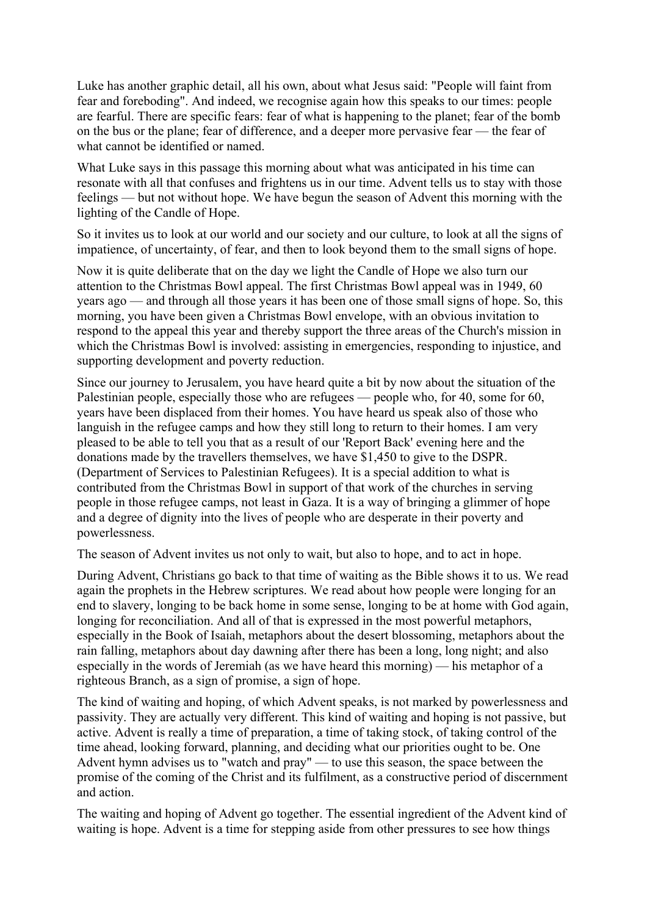Luke has another graphic detail, all his own, about what Jesus said: "People will faint from fear and foreboding". And indeed, we recognise again how this speaks to our times: people are fearful. There are specific fears: fear of what is happening to the planet; fear of the bomb on the bus or the plane; fear of difference, and a deeper more pervasive fear — the fear of what cannot be identified or named.

What Luke says in this passage this morning about what was anticipated in his time can resonate with all that confuses and frightens us in our time. Advent tells us to stay with those feelings — but not without hope. We have begun the season of Advent this morning with the lighting of the Candle of Hope.

So it invites us to look at our world and our society and our culture, to look at all the signs of impatience, of uncertainty, of fear, and then to look beyond them to the small signs of hope.

Now it is quite deliberate that on the day we light the Candle of Hope we also turn our attention to the Christmas Bowl appeal. The first Christmas Bowl appeal was in 1949, 60 years ago — and through all those years it has been one of those small signs of hope. So, this morning, you have been given a Christmas Bowl envelope, with an obvious invitation to respond to the appeal this year and thereby support the three areas of the Church's mission in which the Christmas Bowl is involved: assisting in emergencies, responding to injustice, and supporting development and poverty reduction.

Since our journey to Jerusalem, you have heard quite a bit by now about the situation of the Palestinian people, especially those who are refugees — people who, for 40, some for 60, years have been displaced from their homes. You have heard us speak also of those who languish in the refugee camps and how they still long to return to their homes. I am very pleased to be able to tell you that as a result of our 'Report Back' evening here and the donations made by the travellers themselves, we have \$1,450 to give to the DSPR. (Department of Services to Palestinian Refugees). It is a special addition to what is contributed from the Christmas Bowl in support of that work of the churches in serving people in those refugee camps, not least in Gaza. It is a way of bringing a glimmer of hope and a degree of dignity into the lives of people who are desperate in their poverty and powerlessness.

The season of Advent invites us not only to wait, but also to hope, and to act in hope.

During Advent, Christians go back to that time of waiting as the Bible shows it to us. We read again the prophets in the Hebrew scriptures. We read about how people were longing for an end to slavery, longing to be back home in some sense, longing to be at home with God again, longing for reconciliation. And all of that is expressed in the most powerful metaphors, especially in the Book of Isaiah, metaphors about the desert blossoming, metaphors about the rain falling, metaphors about day dawning after there has been a long, long night; and also especially in the words of Jeremiah (as we have heard this morning) — his metaphor of a righteous Branch, as a sign of promise, a sign of hope.

The kind of waiting and hoping, of which Advent speaks, is not marked by powerlessness and passivity. They are actually very different. This kind of waiting and hoping is not passive, but active. Advent is really a time of preparation, a time of taking stock, of taking control of the time ahead, looking forward, planning, and deciding what our priorities ought to be. One Advent hymn advises us to "watch and pray" — to use this season, the space between the promise of the coming of the Christ and its fulfilment, as a constructive period of discernment and action.

The waiting and hoping of Advent go together. The essential ingredient of the Advent kind of waiting is hope. Advent is a time for stepping aside from other pressures to see how things